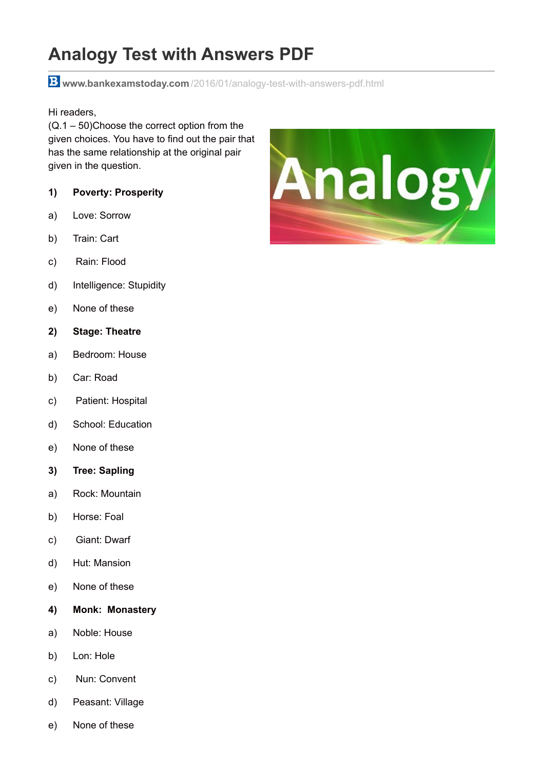# **Analogy Test with Answers PDF**

**www.bankexamstoday.com** [/2016/01/analogy-test-with-answers-pdf.html](http://www.bankexamstoday.com/2016/01/analogy-test-with-answers-pdf.html)

Hi readers,

(Q.1 – 50)Choose the correct option from the given choices. You have to find out the pair that has the same relationship at the original pair given in the question.

- **1) Poverty: Prosperity**
- a) Love: Sorrow
- b) Train: Cart
- c) Rain: Flood
- d) Intelligence: Stupidity
- e) None of these
- **2) Stage: Theatre**
- a) Bedroom: House
- b) Car: Road
- c) Patient: Hospital
- d) School: Education
- e) None of these
- **3) Tree: Sapling**
- a) Rock: Mountain
- b) Horse: Foal
- c) Giant: Dwarf
- d) Hut: Mansion
- e) None of these
- **4) Monk: Monastery**
- a) Noble: House
- b) Lon: Hole
- c) Nun: Convent
- d) Peasant: Village
- e) None of these

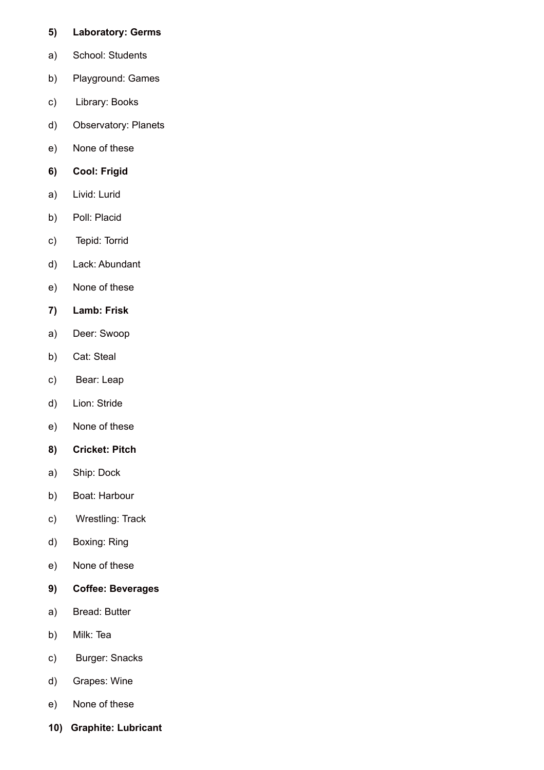#### **5) Laboratory: Germs**

- a) School: Students
- b) Playground: Games
- c) Library: Books
- d) Observatory: Planets
- e) None of these

## **6) Cool: Frigid**

- a) Livid: Lurid
- b) Poll: Placid
- c) Tepid: Torrid
- d) Lack: Abundant
- e) None of these
- **7) Lamb: Frisk**
- a) Deer: Swoop
- b) Cat: Steal
- c) Bear: Leap
- d) Lion: Stride
- e) None of these
- **8) Cricket: Pitch**
- a) Ship: Dock
- b) Boat: Harbour
- c) Wrestling: Track
- d) Boxing: Ring
- e) None of these
- **9) Coffee: Beverages**
- a) Bread: Butter
- b) Milk: Tea
- c) Burger: Snacks
- d) Grapes: Wine
- e) None of these
- **10) Graphite: Lubricant**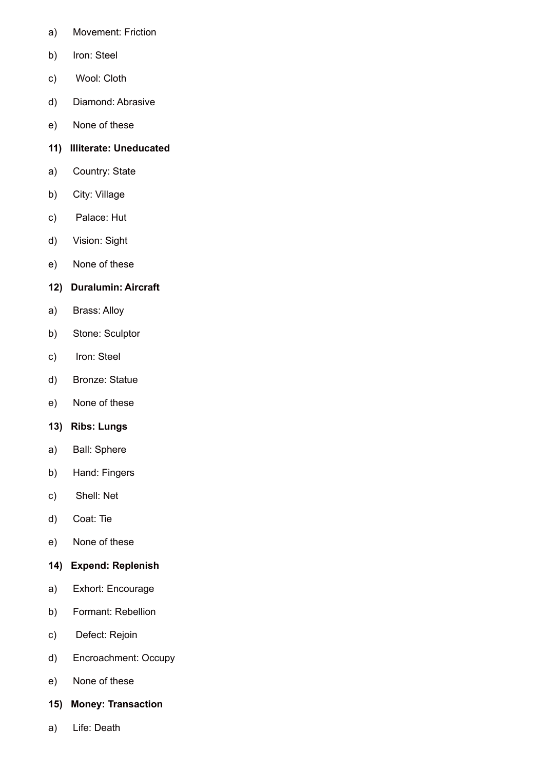- a) Movement: Friction
- b) Iron: Steel
- c) Wool: Cloth
- d) Diamond: Abrasive
- e) None of these
- **11) Illiterate: Uneducated**
- a) Country: State
- b) City: Village
- c) Palace: Hut
- d) Vision: Sight
- e) None of these

## **12) Duralumin: Aircraft**

- a) Brass: Alloy
- b) Stone: Sculptor
- c) Iron: Steel
- d) Bronze: Statue
- e) None of these
- **13) Ribs: Lungs**
- a) Ball: Sphere
- b) Hand: Fingers
- c) Shell: Net
- d) Coat: Tie
- e) None of these
- **14) Expend: Replenish**
- a) Exhort: Encourage
- b) Formant: Rebellion
- c) Defect: Rejoin
- d) Encroachment: Occupy
- e) None of these
- **15) Money: Transaction**
- a) Life: Death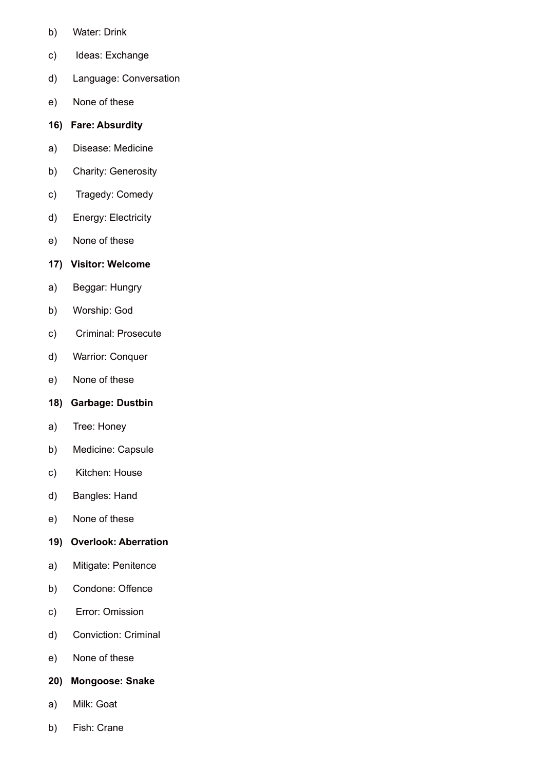- b) Water: Drink
- c) Ideas: Exchange
- d) Language: Conversation
- e) None of these

#### **16) Fare: Absurdity**

- a) Disease: Medicine
- b) Charity: Generosity
- c) Tragedy: Comedy
- d) Energy: Electricity
- e) None of these

## **17) Visitor: Welcome**

- a) Beggar: Hungry
- b) Worship: God
- c) Criminal: Prosecute
- d) Warrior: Conquer
- e) None of these

#### **18) Garbage: Dustbin**

- a) Tree: Honey
- b) Medicine: Capsule
- c) Kitchen: House
- d) Bangles: Hand
- e) None of these
- **19) Overlook: Aberration**
- a) Mitigate: Penitence
- b) Condone: Offence
- c) Error: Omission
- d) Conviction: Criminal
- e) None of these
- **20) Mongoose: Snake**
- a) Milk: Goat
- b) Fish: Crane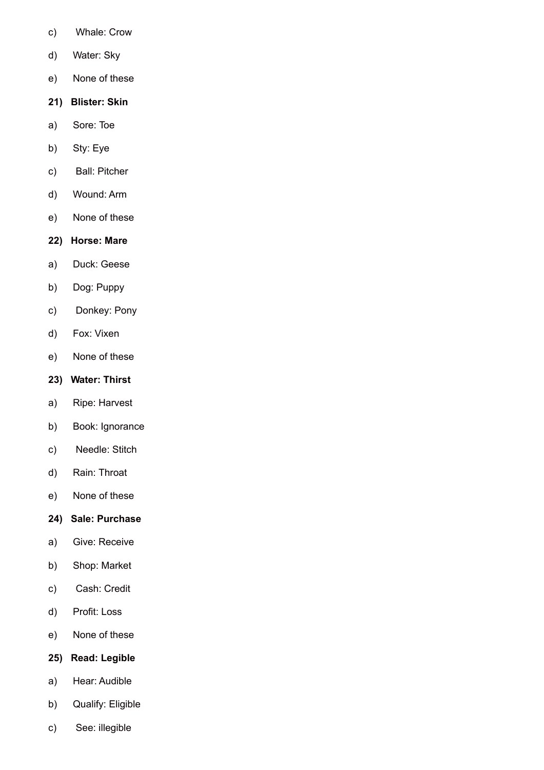- c) Whale: Crow
- d) Water: Sky
- e) None of these
- **21) Blister: Skin**
- a) Sore: Toe
- b) Sty: Eye
- c) Ball: Pitcher
- d) Wound: Arm
- e) None of these
- **22) Horse: Mare**
- a) Duck: Geese
- b) Dog: Puppy
- c) Donkey: Pony
- d) Fox: Vixen
- e) None of these

#### **23) Water: Thirst**

- a) Ripe: Harvest
- b) Book: Ignorance
- c) Needle: Stitch
- d) Rain: Throat
- e) None of these
- **24) Sale: Purchase**
- a) Give: Receive
- b) Shop: Market
- c) Cash: Credit
- d) Profit: Loss
- e) None of these
- **25) Read: Legible**
- a) Hear: Audible
- b) Qualify: Eligible
- c) See: illegible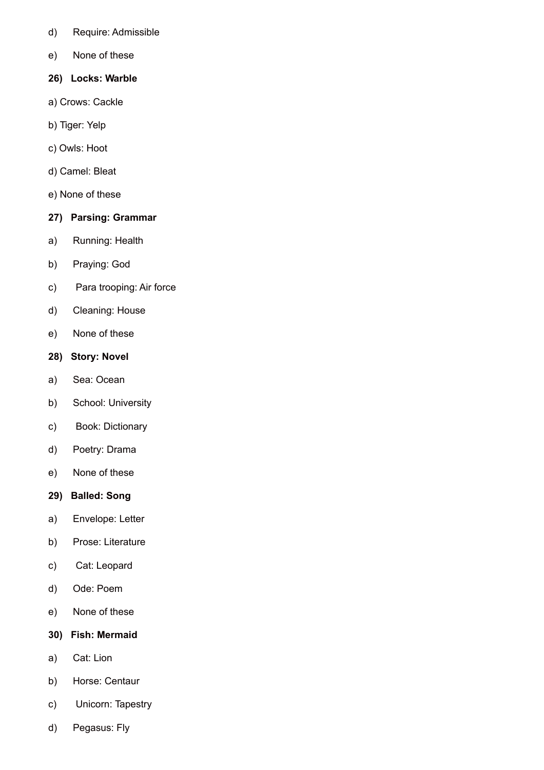- d) Require: Admissible
- e) None of these
- **26) Locks: Warble**
- a) Crows: Cackle
- b) Tiger: Yelp
- c) Owls: Hoot
- d) Camel: Bleat
- e) None of these

## **27) Parsing: Grammar**

- a) Running: Health
- b) Praying: God
- c) Para trooping: Air force
- d) Cleaning: House
- e) None of these
- **28) Story: Novel**
- a) Sea: Ocean
- b) School: University
- c) Book: Dictionary
- d) Poetry: Drama
- e) None of these
- **29) Balled: Song**
- a) Envelope: Letter
- b) Prose: Literature
- c) Cat: Leopard
- d) Ode: Poem
- e) None of these
- **30) Fish: Mermaid**
- a) Cat: Lion
- b) Horse: Centaur
- c) Unicorn: Tapestry
- d) Pegasus: Fly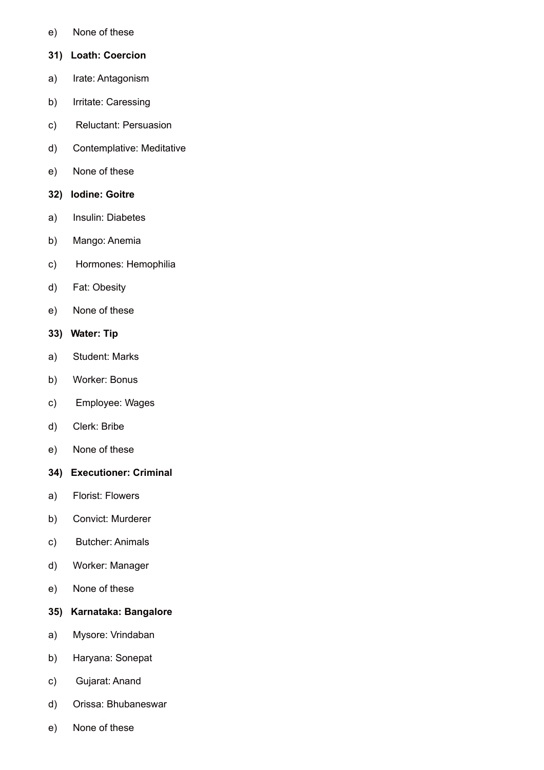- e) None of these
- **31) Loath: Coercion**
- a) Irate: Antagonism
- b) Irritate: Caressing
- c) Reluctant: Persuasion
- d) Contemplative: Meditative
- e) None of these
- **32) Iodine: Goitre**
- a) Insulin: Diabetes
- b) Mango: Anemia
- c) Hormones: Hemophilia
- d) Fat: Obesity
- e) None of these
- **33) Water: Tip**
- a) Student: Marks
- b) Worker: Bonus
- c) Employee: Wages
- d) Clerk: Bribe
- e) None of these
- **34) Executioner: Criminal**
- a) Florist: Flowers
- b) Convict: Murderer
- c) Butcher: Animals
- d) Worker: Manager
- e) None of these
- **35) Karnataka: Bangalore**
- a) Mysore: Vrindaban
- b) Haryana: Sonepat
- c) Gujarat: Anand
- d) Orissa: Bhubaneswar
- e) None of these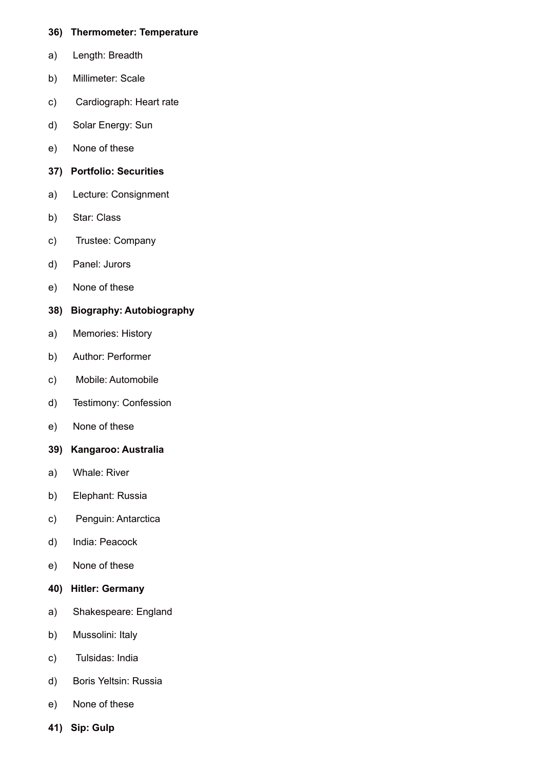#### **36) Thermometer: Temperature**

- a) Length: Breadth
- b) Millimeter: Scale
- c) Cardiograph: Heart rate
- d) Solar Energy: Sun
- e) None of these
- **37) Portfolio: Securities**
- a) Lecture: Consignment
- b) Star: Class
- c) Trustee: Company
- d) Panel: Jurors
- e) None of these
- **38) Biography: Autobiography**
- a) Memories: History
- b) Author: Performer
- c) Mobile: Automobile
- d) Testimony: Confession
- e) None of these
- **39) Kangaroo: Australia**
- a) Whale: River
- b) Elephant: Russia
- c) Penguin: Antarctica
- d) India: Peacock
- e) None of these
- **40) Hitler: Germany**
- a) Shakespeare: England
- b) Mussolini: Italy
- c) Tulsidas: India
- d) Boris Yeltsin: Russia
- e) None of these
- **41) Sip: Gulp**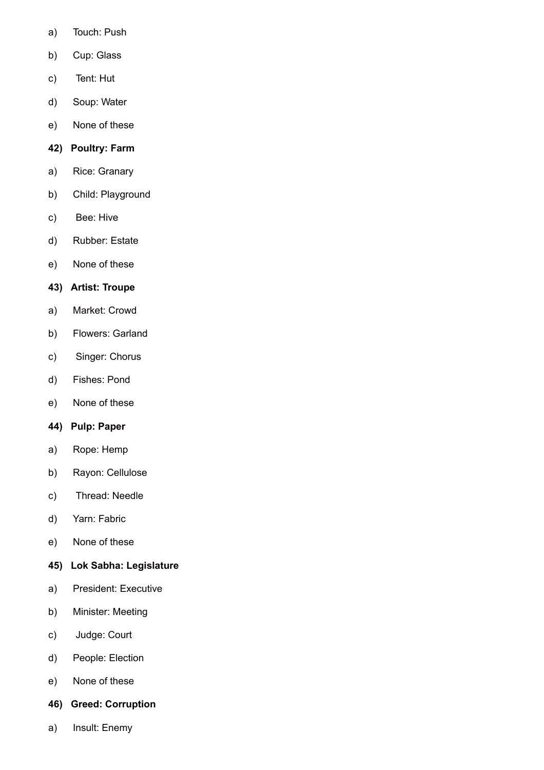- a) Touch: Push
- b) Cup: Glass
- c) Tent: Hut
- d) Soup: Water
- e) None of these

## **42) Poultry: Farm**

- a) Rice: Granary
- b) Child: Playground
- c) Bee: Hive
- d) Rubber: Estate
- e) None of these

## **43) Artist: Troupe**

- a) Market: Crowd
- b) Flowers: Garland
- c) Singer: Chorus
- d) Fishes: Pond
- e) None of these

## **44) Pulp: Paper**

- a) Rope: Hemp
- b) Rayon: Cellulose
- c) Thread: Needle
- d) Yarn: Fabric
- e) None of these
- **45) Lok Sabha: Legislature**
- a) President: Executive
- b) Minister: Meeting
- c) Judge: Court
- d) People: Election
- e) None of these
- **46) Greed: Corruption**
- a) Insult: Enemy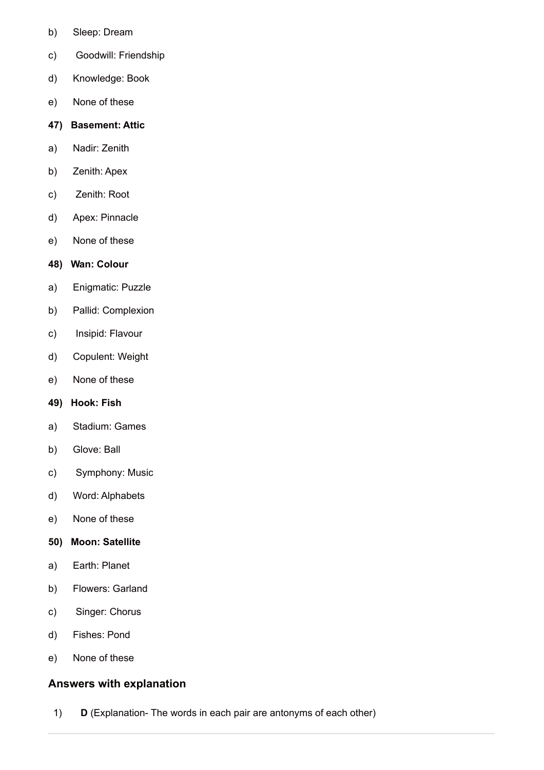- b) Sleep: Dream
- c) Goodwill: Friendship
- d) Knowledge: Book
- e) None of these

#### **47) Basement: Attic**

- a) Nadir: Zenith
- b) Zenith: Apex
- c) Zenith: Root
- d) Apex: Pinnacle
- e) None of these

#### **48) Wan: Colour**

- a) Enigmatic: Puzzle
- b) Pallid: Complexion
- c) Insipid: Flavour
- d) Copulent: Weight
- e) None of these
- **49) Hook: Fish**
- a) Stadium: Games
- b) Glove: Ball
- c) Symphony: Music
- d) Word: Alphabets
- e) None of these
- **50) Moon: Satellite**
- a) Earth: Planet
- b) Flowers: Garland
- c) Singer: Chorus
- d) Fishes: Pond
- e) None of these

## **Answers with explanation**

1) **D** (Explanation- The words in each pair are antonyms of each other)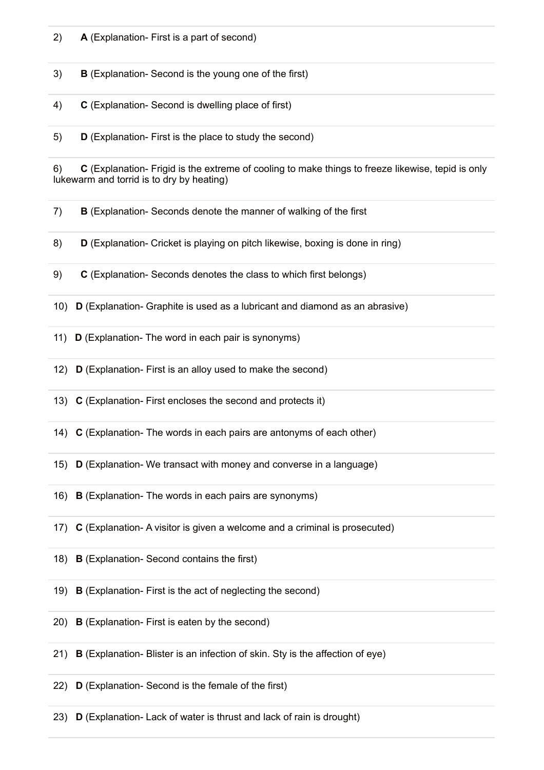2) **A** (Explanation- First is a part of second)

3) **B** (Explanation- Second is the young one of the first)

- 4) **C** (Explanation- Second is dwelling place of first)
- 5) **D** (Explanation- First is the place to study the second)

6) **C** (Explanation- Frigid is the extreme of cooling to make things to freeze likewise, tepid is only lukewarm and torrid is to dry by heating)

- 7) **B** (Explanation- Seconds denote the manner of walking of the first
- 8) **D** (Explanation- Cricket is playing on pitch likewise, boxing is done in ring)
- 9) **C** (Explanation- Seconds denotes the class to which first belongs)
- 10) **D** (Explanation- Graphite is used as a lubricant and diamond as an abrasive)
- 11) **D** (Explanation- The word in each pair is synonyms)
- 12) **D** (Explanation- First is an alloy used to make the second)
- 13) **C** (Explanation- First encloses the second and protects it)
- 14) **C** (Explanation- The words in each pairs are antonyms of each other)
- 15) **D** (Explanation- We transact with money and converse in a language)
- 16) **B** (Explanation- The words in each pairs are synonyms)
- 17) **C** (Explanation- A visitor is given a welcome and a criminal is prosecuted)
- 18) **B** (Explanation- Second contains the first)
- 19) **B** (Explanation- First is the act of neglecting the second)
- 20) **B** (Explanation- First is eaten by the second)
- 21) **B** (Explanation- Blister is an infection of skin. Sty is the affection of eye)
- 22) **D** (Explanation- Second is the female of the first)
- 23) **D** (Explanation- Lack of water is thrust and lack of rain is drought)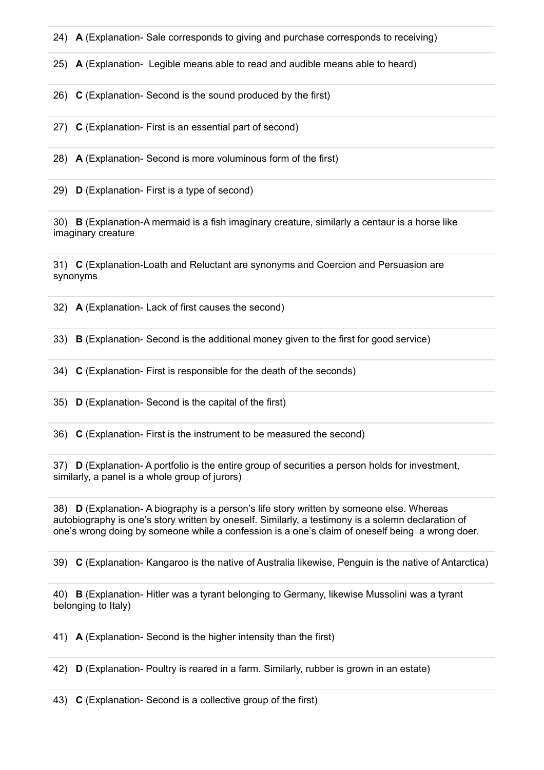24) **A** (Explanation- Sale corresponds to giving and purchase corresponds to receiving)

25) **A** (Explanation- Legible means able to read and audible means able to heard)

26) **C** (Explanation- Second is the sound produced by the first)

27) **C** (Explanation- First is an essential part of second)

28) **A** (Explanation- Second is more voluminous form of the first)

29) **D** (Explanation- First is a type of second)

30) **B** (Explanation-A mermaid is a fish imaginary creature, similarly a centaur is a horse like imaginary creature

31) **C** (Explanation-Loath and Reluctant are synonyms and Coercion and Persuasion are synonyms

32) **A** (Explanation- Lack of first causes the second)

33) **B** (Explanation- Second is the additional money given to the first for good service)

34) **C** (Explanation- First is responsible for the death of the seconds)

35) **D** (Explanation- Second is the capital of the first)

36) **C** (Explanation- First is the instrument to be measured the second)

37) **D** (Explanation- A portfolio is the entire group of securities a person holds for investment, similarly, a panel is a whole group of jurors)

38) **D** (Explanation- A biography is a person's life story written by someone else. Whereas autobiography is one's story written by oneself. Similarly, a testimony is a solemn declaration of one's wrong doing by someone while a confession is a one's claim of oneself being a wrong doer.

39) **C** (Explanation- Kangaroo is the native of Australia likewise, Penguin is the native of Antarctica)

40) **B** (Explanation- Hitler was a tyrant belonging to Germany, likewise Mussolini was a tyrant belonging to Italy)

41) **A** (Explanation- Second is the higher intensity than the first)

42) **D** (Explanation- Poultry is reared in a farm. Similarly, rubber is grown in an estate)

43) **C** (Explanation- Second is a collective group of the first)